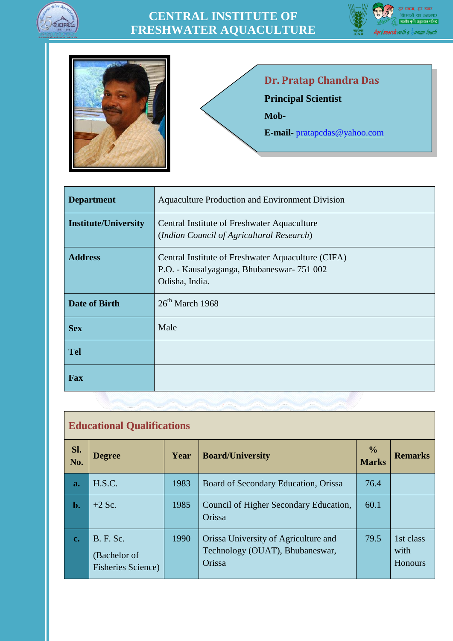





# **Dr. Pratap Chandra Das**

**Principal Scientist**

**Mob-**

**E-mail-** [pratapcdas@yahoo.com](mailto:pratapcdas@yahoo.com)

| <b>Department</b>           | <b>Aquaculture Production and Environment Division</b>                                                             |
|-----------------------------|--------------------------------------------------------------------------------------------------------------------|
| <b>Institute/University</b> | Central Institute of Freshwater Aquaculture<br>(Indian Council of Agricultural Research)                           |
| <b>Address</b>              | Central Institute of Freshwater Aquaculture (CIFA)<br>P.O. - Kausalyaganga, Bhubaneswar- 751 002<br>Odisha, India. |
| <b>Date of Birth</b>        | $26th$ March 1968                                                                                                  |
| <b>Sex</b>                  | Male                                                                                                               |
| <b>Tel</b>                  |                                                                                                                    |
| Fax                         |                                                                                                                    |

| <b>Educational Qualifications</b> |                                                                |      |                                                                                   |                               |                              |
|-----------------------------------|----------------------------------------------------------------|------|-----------------------------------------------------------------------------------|-------------------------------|------------------------------|
| Sl.<br>No.                        | <b>Degree</b>                                                  | Year | <b>Board/University</b>                                                           | $\frac{6}{9}$<br><b>Marks</b> | <b>Remarks</b>               |
| a.                                | H.S.C.                                                         | 1983 | Board of Secondary Education, Orissa                                              | 76.4                          |                              |
| $\mathbf{b}$ .                    | $+2$ Sc.                                                       | 1985 | Council of Higher Secondary Education,<br>Orissa                                  | 60.1                          |                              |
| c.                                | <b>B.</b> F. Sc.<br>(Bachelor of<br><b>Fisheries Science</b> ) | 1990 | Orissa University of Agriculture and<br>Technology (OUAT), Bhubaneswar,<br>Orissa | 79.5                          | 1st class<br>with<br>Honours |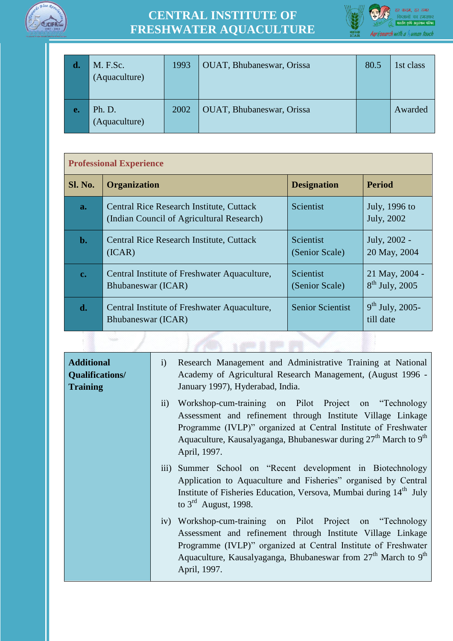



| d. | M. F.Sc.<br>(Aquaculture) | 1993 | <b>OUAT, Bhubaneswar, Orissa</b> | 80.5 | 1st class |
|----|---------------------------|------|----------------------------------|------|-----------|
| e. | Ph. D.<br>(Aquaculture)   | 2002 | OUAT, Bhubaneswar, Orissa        |      | Awarded   |

#### **Professional Experience**

| <b>Sl. No.</b> | <b>Organization</b>                                                                          | <b>Designation</b>                 | <b>Period</b>                      |
|----------------|----------------------------------------------------------------------------------------------|------------------------------------|------------------------------------|
| a.             | <b>Central Rice Research Institute, Cuttack</b><br>(Indian Council of Agricultural Research) | Scientist                          | July, 1996 to<br>July, 2002        |
| $\mathbf{b}$ . | <b>Central Rice Research Institute, Cuttack</b><br>(ICAR)                                    | Scientist<br>(Senior Scale)        | July, 2002 -<br>20 May, 2004       |
| $c_{\bullet}$  | Central Institute of Freshwater Aquaculture,<br>Bhubaneswar (ICAR)                           | <b>Scientist</b><br>(Senior Scale) | 21 May, 2004 -<br>$8th$ July, 2005 |
| d.             | Central Institute of Freshwater Aquaculture,<br>Bhubaneswar (ICAR)                           | <b>Senior Scientist</b>            | $9^{th}$ July, 2005-<br>till date  |
|                |                                                                                              |                                    |                                    |

| <b>Additional</b><br>Qualifications/<br><b>Training</b> | Research Management and Administrative Training at National<br>i)<br>Academy of Agricultural Research Management, (August 1996 -<br>January 1997), Hyderabad, India.                                                                                                                                                       |
|---------------------------------------------------------|----------------------------------------------------------------------------------------------------------------------------------------------------------------------------------------------------------------------------------------------------------------------------------------------------------------------------|
|                                                         | Workshop-cum-training on Pilot Project on "Technology"<br>$\ddot{\mathbf{i}}$<br>Assessment and refinement through Institute Village Linkage<br>Programme (IVLP)" organized at Central Institute of Freshwater<br>Aquaculture, Kausalyaganga, Bhubaneswar during 27 <sup>th</sup> March to 9 <sup>th</sup><br>April, 1997. |
|                                                         | iii) Summer School on "Recent development in Biotechnology<br>Application to Aquaculture and Fisheries" organised by Central<br>Institute of Fisheries Education, Versova, Mumbai during 14 <sup>th</sup> July<br>to $3^{\text{rd}}$ August, 1998.                                                                         |
|                                                         | iv) Workshop-cum-training on Pilot Project on "Technology"<br>Assessment and refinement through Institute Village Linkage<br>Programme (IVLP)" organized at Central Institute of Freshwater<br>Aquaculture, Kausalyaganga, Bhubaneswar from $27th$ March to 9 <sup>th</sup><br>April, 1997.                                |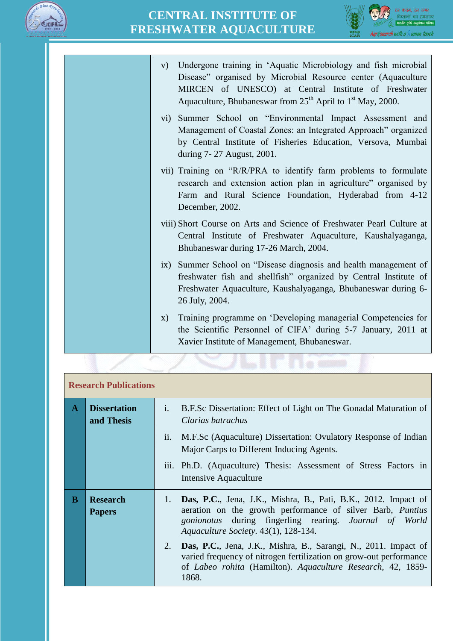



v) Undergone training in 'Aquatic Microbiology and fish microbial Disease" organised by Microbial Resource center (Aquaculture MIRCEN of UNESCO) at Central Institute of Freshwater Aquaculture, Bhubaneswar from  $25<sup>th</sup>$  April to  $1<sup>st</sup>$  May, 2000. vi) Summer School on "Environmental Impact Assessment and Management of Coastal Zones: an Integrated Approach" organized by Central Institute of Fisheries Education, Versova, Mumbai during 7- 27 August, 2001. vii) Training on "R/R/PRA to identify farm problems to formulate research and extension action plan in agriculture" organised by Farm and Rural Science Foundation, Hyderabad from 4-12 December, 2002. viii) Short Course on Arts and Science of Freshwater Pearl Culture at Central Institute of Freshwater Aquaculture, Kaushalyaganga, Bhubaneswar during 17-26 March, 2004. ix) Summer School on "Disease diagnosis and health management of freshwater fish and shellfish" organized by Central Institute of Freshwater Aquaculture, Kaushalyaganga, Bhubaneswar during 6- 26 July, 2004. x) Training programme on 'Developing managerial Competencies for the Scientific Personnel of CIFA' during 5-7 January, 2011 at Xavier Institute of Management, Bhubaneswar.

|              | <b>Research Publications</b>      |                                                                                                                                                                                                                                                           |  |  |
|--------------|-----------------------------------|-----------------------------------------------------------------------------------------------------------------------------------------------------------------------------------------------------------------------------------------------------------|--|--|
| $\mathbf{A}$ | <b>Dissertation</b><br>and Thesis | B.F.Sc Dissertation: Effect of Light on The Gonadal Maturation of<br>$\mathbf{i}$ .<br>Clarias batrachus<br>M.F.Sc (Aquaculture) Dissertation: Ovulatory Response of Indian<br>ii.<br>Major Carps to Different Inducing Agents.                           |  |  |
|              |                                   | iii. Ph.D. (Aquaculture) Thesis: Assessment of Stress Factors in<br>Intensive Aquaculture                                                                                                                                                                 |  |  |
| B            | <b>Research</b><br><b>Papers</b>  | Das, P.C., Jena, J.K., Mishra, B., Pati, B.K., 2012. Impact of<br>1.<br>aeration on the growth performance of silver Barb, <i>Puntius</i><br><i>gonionotus</i> during fingerling rearing. <i>Journal of World</i><br>Aquaculture Society. 43(1), 128-134. |  |  |
|              |                                   | 2.<br>Das, P.C., Jena, J.K., Mishra, B., Sarangi, N., 2011. Impact of<br>varied frequency of nitrogen fertilization on grow-out performance<br>of <i>Labeo rohita</i> (Hamilton). Aquaculture Research, 42, 1859-<br>1868.                                |  |  |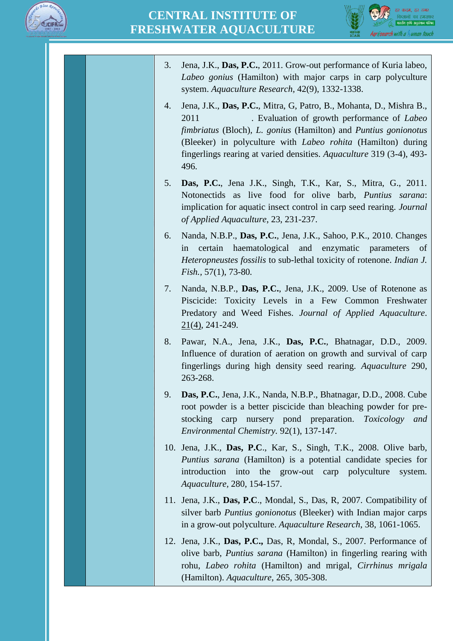

3. Jena, J.K., **Das, P.C.**, 2011. Grow-out performance of Kuria labeo, *Labeo gonius* (Hamilton) with major carps in carp polyculture system. *Aquaculture Research,* 42(9), 1332-1338. 4. Jena, J.K., **Das, P.C.**, Mitra, G, Patro, B., Mohanta, D., Mishra B., 2011 . Evaluation of growth performance of *Labeo fimbriatus* (Bloch)*, L. gonius* (Hamilton) and *Puntius gonionotus*  (Bleeker) in polyculture with *Labeo rohita* (Hamilton) during fingerlings rearing at varied densities. *Aquaculture* 319 (3-4), 493- 496. 5. **Das, P.C.**, Jena J.K., Singh, T.K., Kar, S., Mitra, G., 2011. Notonectids as live food for olive barb, *Puntius sarana*: implication for aquatic insect control in carp seed rearing. *Journal of Applied Aquaculture*, 23, 231-237. 6. Nanda, N.B.P., **Das, P.C.**, Jena, J.K., Sahoo, P.K., 2010. Changes in certain haematological and enzymatic parameters of *Heteropneustes fossilis* to sub-lethal toxicity of rotenone. *Indian J. Fish.,* 57(1), 73-80*.* 7. Nanda, N.B.P., **Das, P.C.**, Jena, J.K., 2009. Use of Rotenone as Piscicide: Toxicity Levels in a Few Common Freshwater Predatory and Weed Fishes. *Journal of Applied Aquaculture*. [21\(](http://www.informaworld.com/smpp/title~db=all~content=t792306881~tab=issueslist~branches=21#v21)[4\),](http://www.informaworld.com/smpp/title~db=all~content=g917604091) 241-249. 8. Pawar, N.A., Jena, J.K., **Das, P.C.**, Bhatnagar, D.D., 2009. Influence of duration of aeration on growth and survival of carp fingerlings during high density seed rearing. *Aquaculture* 290, 263-268. 9. **Das, P.C.**, Jena, J.K., Nanda, N.B.P., Bhatnagar, D.D., 2008. Cube root powder is a better piscicide than bleaching powder for prestocking carp nursery pond preparation. *Toxicology and Environmental Chemistry.* 92(1), 137-147. 10. Jena, J.K., **Das, P.C**., Kar, S., Singh, T.K., 2008. Olive barb, *Puntius sarana* (Hamilton) is a potential candidate species for introduction into the grow-out carp polyculture system. *Aquaculture,* 280, 154-157. 11. Jena, J.K., **Das, P.C**., Mondal, S., Das, R, 2007. Compatibility of silver barb *Puntius gonionotus* (Bleeker) with Indian major carps in a grow-out polyculture. *Aquaculture Research*, 38, 1061-1065. 12. Jena, J.K., **Das, P.C.,** Das, R, Mondal, S., 2007. Performance of olive barb, *Puntius sarana* (Hamilton) in fingerling rearing with rohu, *Labeo rohita* (Hamilton) and mrigal, *Cirrhinus mrigala* (Hamilton). *Aquaculture*, 265, 305-308.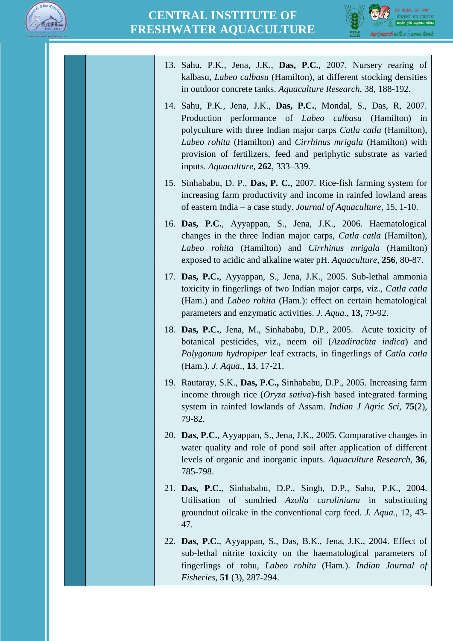



| 13. Sahu, P.K., Jena, J.K., Das, P.C., 2007. Nursery rearing of<br>kalbasu, Labeo calbasu (Hamilton), at different stocking densities<br>in outdoor concrete tanks. Aquaculture Research, 38, 188-192.                                                                                                                                                                            |
|-----------------------------------------------------------------------------------------------------------------------------------------------------------------------------------------------------------------------------------------------------------------------------------------------------------------------------------------------------------------------------------|
| 14. Sahu, P.K., Jena, J.K., Das, P.C., Mondal, S., Das, R, 2007.<br>Production performance of <i>Labeo calbasu</i> (Hamilton) in<br>polyculture with three Indian major carps Catla catla (Hamilton),<br>Labeo rohita (Hamilton) and Cirrhinus mrigala (Hamilton) with<br>provision of fertilizers, feed and periphytic substrate as varied<br>inputs. Aquaculture, 262, 333–339. |
| 15. Sinhababu, D. P., Das, P. C., 2007. Rice-fish farming system for<br>increasing farm productivity and income in rainfed lowland areas<br>of eastern India – a case study. Journal of Aquaculture, 15, 1-10.                                                                                                                                                                    |
| 16. Das, P.C., Ayyappan, S., Jena, J.K., 2006. Haematological<br>changes in the three Indian major carps, <i>Catla catla</i> (Hamilton),<br>Labeo rohita (Hamilton) and Cirrhinus mrigala (Hamilton)<br>exposed to acidic and alkaline water pH. Aquaculture, 256, 80-87.                                                                                                         |
| 17. Das, P.C., Ayyappan, S., Jena, J.K., 2005. Sub-lethal ammonia<br>toxicity in fingerlings of two Indian major carps, viz., Catla catla<br>(Ham.) and <i>Labeo rohita</i> (Ham.): effect on certain hematological<br>parameters and enzymatic activities. J. Aqua., 13, 79-92.                                                                                                  |
| 18. Das, P.C., Jena, M., Sinhababu, D.P., 2005. Acute toxicity of<br>botanical pesticides, viz., neem oil (Azadirachta indica) and<br>Polygonum hydropiper leaf extracts, in fingerlings of Catla catla<br>(Ham.). <i>J. Aqua.</i> , <b>13</b> , 17-21.                                                                                                                           |
| 19. Rautaray, S.K., Das, P.C., Sinhababu, D.P., 2005. Increasing farm<br>income through rice $(Oryza sativa)$ -fish based integrated farming<br>system in rainfed lowlands of Assam. <i>Indian J Agric Sci</i> , <b>75</b> (2),<br>79-82.                                                                                                                                         |
| 20. Das, P.C., Ayyappan, S., Jena, J.K., 2005. Comparative changes in<br>water quality and role of pond soil after application of different<br>levels of organic and inorganic inputs. Aquaculture Research, 36,<br>785-798.                                                                                                                                                      |
| 21. Das, P.C., Sinhababu, D.P., Singh, D.P., Sahu, P.K., 2004.<br>Utilisation<br>of sundried Azolla caroliniana in<br>substituting<br>ground nut oilcake in the conventional carp feed. <i>J. Aqua.</i> , 12, 43-<br>47.                                                                                                                                                          |
| 22. Das, P.C., Ayyappan, S., Das, B.K., Jena, J.K., 2004. Effect of<br>sub-lethal nitrite toxicity on the haematological parameters of<br>fingerlings of rohu, Labeo rohita (Ham.). Indian Journal of<br><i>Fisheries</i> , <b>51</b> (3), 287-294.                                                                                                                               |
|                                                                                                                                                                                                                                                                                                                                                                                   |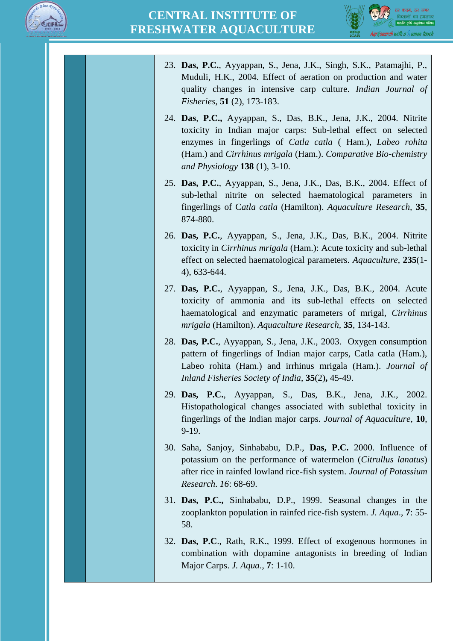



23. **Das, P.C.**, Ayyappan, S., Jena, J.K., Singh, S.K., Patamajhi, P., Muduli, H.K., 2004. Effect of aeration on production and water quality changes in intensive carp culture. *Indian Journal of Fisheries*, **51** (2), 173-183. 24. **Das**, **P.C.,** Ayyappan, S., Das, B.K., Jena, J.K., 2004. Nitrite toxicity in Indian major carps: Sub-lethal effect on selected enzymes in fingerlings of *Catla catla* ( Ham.), *Labeo rohita*  (Ham.) and *Cirrhinus mrigala* (Ham.). *Comparative Bio-chemistry and Physiology* **138** (1), 3-10. 25. **Das, P.C.**, Ayyappan, S., Jena, J.K., Das, B.K., 2004. Effect of sub-lethal nitrite on selected haematological parameters in fingerlings of C*atla catla* (Hamilton). *Aquaculture Research,* **35**, 874-880. 26. **Das, P.C.**, Ayyappan, S., Jena, J.K., Das, B.K., 2004. Nitrite toxicity in *Cirrhinus mrigala* (Ham.): Acute toxicity and sub-lethal effect on selected haematological parameters. *Aquaculture*, **235**(1- 4), 633-644. 27. **Das, P.C.**, Ayyappan, S., Jena, J.K., Das, B.K., 2004. Acute toxicity of ammonia and its sub-lethal effects on selected haematological and enzymatic parameters of mrigal, *Cirrhinus mrigala* (Hamilton). *Aquaculture Research,* **35**, 134-143. 28. **Das, P.C.**, Ayyappan, S., Jena, J.K., 2003. Oxygen consumption pattern of fingerlings of Indian major carps, Catla catla (Ham.), Labeo rohita (Ham.) and irrhinus mrigala (Ham.). *Journal of Inland Fisheries Society of India*, **35**(2)**,** 45-49. 29. **Das, P.C.**, Ayyappan, S., Das, B.K., Jena, J.K., 2002. Histopathological changes associated with sublethal toxicity in fingerlings of the Indian major carps. *Journal of Aquaculture,* **10**, 9-19. 30. Saha, Sanjoy, Sinhababu, D.P., **Das, P.C.** 2000. Influence of potassium on the performance of watermelon (*Citrullus lanatus*) after rice in rainfed lowland rice-fish system. *Journal of Potassium Research*. *16*: 68-69. 31. **Das, P.C.,** Sinhababu, D.P., 1999. Seasonal changes in the zooplankton population in rainfed rice-fish system. *J. Aqua*., **7**: 55- 58. 32. **Das, P.C**., Rath, R.K., 1999. Effect of exogenous hormones in combination with dopamine antagonists in breeding of Indian Major Carps. *J. Aqua*., **7**: 1-10.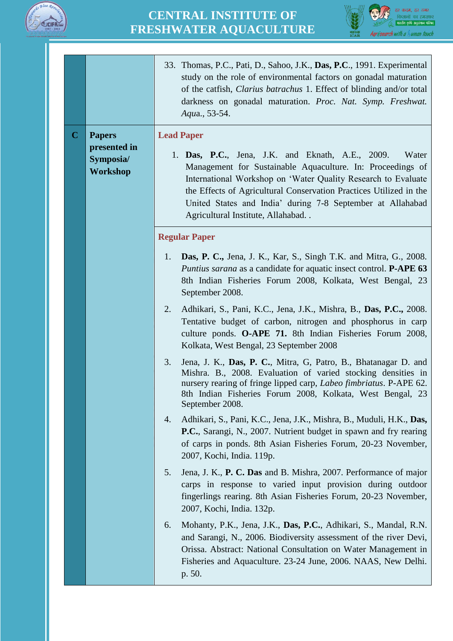



|         |                                                        | 33. Thomas, P.C., Pati, D., Sahoo, J.K., Das, P.C., 1991. Experimental<br>study on the role of environmental factors on gonadal maturation<br>of the catfish, <i>Clarius batrachus</i> 1. Effect of blinding and/or total<br>darkness on gonadal maturation. Proc. Nat. Symp. Freshwat.<br>Aqua., 53-54.                                                                                       |
|---------|--------------------------------------------------------|------------------------------------------------------------------------------------------------------------------------------------------------------------------------------------------------------------------------------------------------------------------------------------------------------------------------------------------------------------------------------------------------|
| $\bf C$ | <b>Papers</b><br>presented in<br>Symposia/<br>Workshop | <b>Lead Paper</b><br>1. <b>Das, P.C.</b> , Jena, J.K. and Eknath, A.E., 2009.<br>Water<br>Management for Sustainable Aquaculture. In: Proceedings of<br>International Workshop on 'Water Quality Research to Evaluate<br>the Effects of Agricultural Conservation Practices Utilized in the<br>United States and India' during 7-8 September at Allahabad<br>Agricultural Institute, Allahabad |
|         |                                                        | <b>Regular Paper</b>                                                                                                                                                                                                                                                                                                                                                                           |
|         |                                                        | Das, P. C., Jena, J. K., Kar, S., Singh T.K. and Mitra, G., 2008.<br>1.<br>Puntius sarana as a candidate for aquatic insect control. P-APE 63<br>8th Indian Fisheries Forum 2008, Kolkata, West Bengal, 23<br>September 2008.                                                                                                                                                                  |
|         |                                                        | 2.<br>Adhikari, S., Pani, K.C., Jena, J.K., Mishra, B., Das, P.C., 2008.<br>Tentative budget of carbon, nitrogen and phosphorus in carp<br>culture ponds. O-APE 71. 8th Indian Fisheries Forum 2008,<br>Kolkata, West Bengal, 23 September 2008                                                                                                                                                |
|         |                                                        | 3.<br>Jena, J. K., Das, P. C., Mitra, G, Patro, B., Bhatanagar D. and<br>Mishra. B., 2008. Evaluation of varied stocking densities in<br>nursery rearing of fringe lipped carp, <i>Labeo fimbriatus</i> . P-APE 62.<br>8th Indian Fisheries Forum 2008, Kolkata, West Bengal, 23<br>September 2008.                                                                                            |
|         |                                                        | Adhikari, S., Pani, K.C., Jena, J.K., Mishra, B., Muduli, H.K., Das,<br>4.<br>P.C., Sarangi, N., 2007. Nutrient budget in spawn and fry rearing<br>of carps in ponds. 8th Asian Fisheries Forum, 20-23 November,<br>2007, Kochi, India. 119p.                                                                                                                                                  |
|         |                                                        | Jena, J. K., P. C. Das and B. Mishra, 2007. Performance of major<br>5.<br>carps in response to varied input provision during outdoor<br>fingerlings rearing. 8th Asian Fisheries Forum, 20-23 November,<br>2007, Kochi, India. 132p.                                                                                                                                                           |
|         |                                                        | Mohanty, P.K., Jena, J.K., Das, P.C., Adhikari, S., Mandal, R.N.<br>6.<br>and Sarangi, N., 2006. Biodiversity assessment of the river Devi,<br>Orissa. Abstract: National Consultation on Water Management in<br>Fisheries and Aquaculture. 23-24 June, 2006. NAAS, New Delhi.<br>p. 50.                                                                                                       |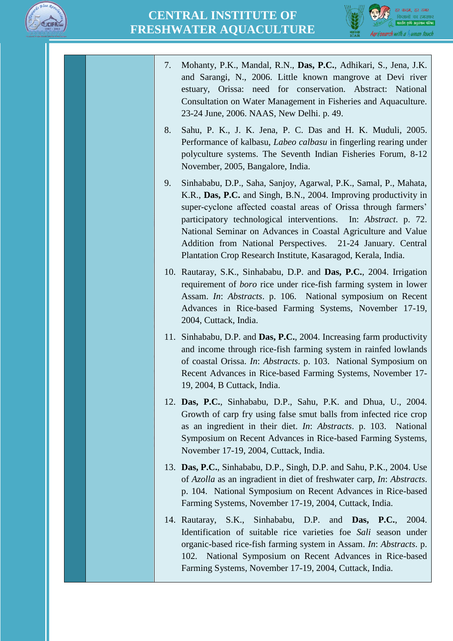



| 7.  | Mohanty, P.K., Mandal, R.N., Das, P.C., Adhikari, S., Jena, J.K.<br>and Sarangi, N., 2006. Little known mangrove at Devi river<br>estuary, Orissa: need for conservation. Abstract: National<br>Consultation on Water Management in Fisheries and Aquaculture.<br>23-24 June, 2006. NAAS, New Delhi. p. 49.                                                                                                                                                                 |
|-----|-----------------------------------------------------------------------------------------------------------------------------------------------------------------------------------------------------------------------------------------------------------------------------------------------------------------------------------------------------------------------------------------------------------------------------------------------------------------------------|
| 8.  | Sahu, P. K., J. K. Jena, P. C. Das and H. K. Muduli, 2005.<br>Performance of kalbasu, Labeo calbasu in fingerling rearing under<br>polyculture systems. The Seventh Indian Fisheries Forum, 8-12<br>November, 2005, Bangalore, India.                                                                                                                                                                                                                                       |
| 9.  | Sinhababu, D.P., Saha, Sanjoy, Agarwal, P.K., Samal, P., Mahata,<br>K.R., Das, P.C. and Singh, B.N., 2004. Improving productivity in<br>super-cyclone affected coastal areas of Orissa through farmers'<br>participatory technological interventions. In: Abstract. p. 72.<br>National Seminar on Advances in Coastal Agriculture and Value<br>Addition from National Perspectives. 21-24 January. Central<br>Plantation Crop Research Institute, Kasaragod, Kerala, India. |
| 10. | Rautaray, S.K., Sinhababu, D.P. and Das, P.C., 2004. Irrigation<br>requirement of <i>boro</i> rice under rice-fish farming system in lower<br>Assam. In: Abstracts. p. 106. National symposium on Recent<br>Advances in Rice-based Farming Systems, November 17-19,<br>2004, Cuttack, India.                                                                                                                                                                                |
|     | 11. Sinhababu, D.P. and Das, P.C., 2004. Increasing farm productivity<br>and income through rice-fish farming system in rainfed lowlands<br>of coastal Orissa. In: Abstracts. p. 103. National Symposium on<br>Recent Advances in Rice-based Farming Systems, November 17-<br>19, 2004, B Cuttack, India.                                                                                                                                                                   |
|     | 12. Das, P.C., Sinhababu, D.P., Sahu, P.K. and Dhua, U., 2004.<br>Growth of carp fry using false smut balls from infected rice crop<br>as an ingredient in their diet. In: Abstracts. p. 103. National<br>Symposium on Recent Advances in Rice-based Farming Systems,<br>November 17-19, 2004, Cuttack, India.                                                                                                                                                              |
|     | 13. Das, P.C., Sinhababu, D.P., Singh, D.P. and Sahu, P.K., 2004. Use<br>of Azolla as an ingradient in diet of freshwater carp, In: Abstracts.<br>p. 104. National Symposium on Recent Advances in Rice-based<br>Farming Systems, November 17-19, 2004, Cuttack, India.                                                                                                                                                                                                     |
|     | 14. Rautaray, S.K., Sinhababu, D.P. and <b>Das, P.C.</b> ,<br>2004.<br>Identification of suitable rice varieties foe Sali season under<br>organic-based rice-fish farming system in Assam. In: Abstracts. p.<br>National Symposium on Recent Advances in Rice-based<br>102.<br>Farming Systems, November 17-19, 2004, Cuttack, India.                                                                                                                                       |
|     |                                                                                                                                                                                                                                                                                                                                                                                                                                                                             |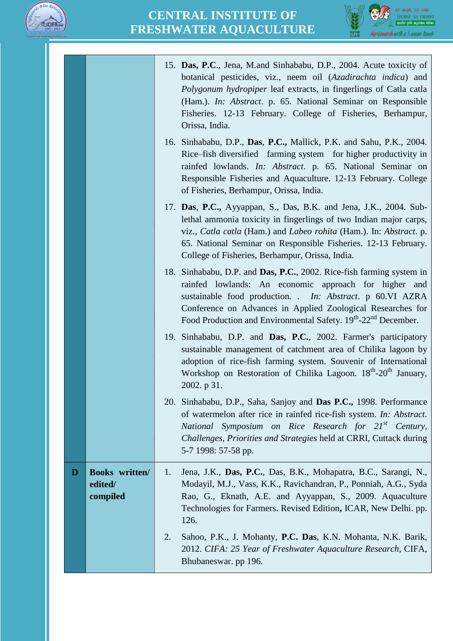



|   |                                              | 15. Das, P.C., Jena, M.and Sinhababu, D.P., 2004. Acute toxicity of<br>botanical pesticides, viz., neem oil (Azadirachta indica) and<br><i>Polygonum hydropiper</i> leaf extracts, in fingerlings of Catla catla<br>(Ham.). In: Abstract. p. 65. National Seminar on Responsible<br>Fisheries. 12-13 February. College of Fisheries, Berhampur,<br>Orissa, India. |
|---|----------------------------------------------|-------------------------------------------------------------------------------------------------------------------------------------------------------------------------------------------------------------------------------------------------------------------------------------------------------------------------------------------------------------------|
|   |                                              | 16. Sinhababu, D.P., Das, P.C., Mallick, P.K. and Sahu, P.K., 2004.<br>Rice-fish diversified farming system for higher productivity in<br>rainfed lowlands. In: Abstract. p. 65. National Seminar on<br>Responsible Fisheries and Aquaculture. 12-13 February. College<br>of Fisheries, Berhampur, Orissa, India.                                                 |
|   |                                              | 17. Das, P.C., Ayyappan, S., Das, B.K. and Jena, J.K., 2004. Sub-<br>lethal ammonia toxicity in fingerlings of two Indian major carps,<br>viz., Catla catla (Ham.) and Labeo rohita (Ham.). In: Abstract. p.<br>65. National Seminar on Responsible Fisheries. 12-13 February.<br>College of Fisheries, Berhampur, Orissa, India.                                 |
|   |                                              | 18. Sinhababu, D.P. and Das, P.C., 2002. Rice-fish farming system in<br>rainfed lowlands: An economic approach for higher and<br>sustainable food production. . In: Abstract. p 60.VI AZRA<br>Conference on Advances in Applied Zoological Researches for<br>Food Production and Environmental Safety. 19th-22 <sup>nd</sup> December.                            |
|   |                                              | 19. Sinhababu, D.P. and Das, P.C., 2002. Farmer's participatory<br>sustainable management of catchment area of Chilika lagoon by<br>adoption of rice-fish farming system. Souvenir of International<br>Workshop on Restoration of Chilika Lagoon. 18 <sup>th</sup> -20 <sup>th</sup> January,<br>2002. p 31.                                                      |
|   |                                              | 20. Sinhababu, D.P., Saha, Sanjoy and Das P.C., 1998. Performance<br>of watermelon after rice in rainfed rice-fish system. In: Abstract.<br>National Symposium on Rice Research for 21 <sup>st</sup> Century,<br>Challenges, Priorities and Strategies held at CRRI, Cuttack during<br>5-7 1998: 57-58 pp.                                                        |
| D | <b>Books</b> written/<br>edited/<br>compiled | Jena, J.K., Das, P.C., Das, B.K., Mohapatra, B.C., Sarangi, N.,<br>1.<br>Modayil, M.J., Vass, K.K., Ravichandran, P., Ponniah, A.G., Syda<br>Rao, G., Eknath, A.E. and Ayyappan, S., 2009. Aquaculture<br>Technologies for Farmers. Revised Edition, ICAR, New Delhi. pp.<br>126.                                                                                 |
|   |                                              | 2.<br>Sahoo, P.K., J. Mohanty, P.C. Das, K.N. Mohanta, N.K. Barik,<br>2012. CIFA: 25 Year of Freshwater Aquaculture Research, CIFA,<br>Bhubaneswar. pp 196.                                                                                                                                                                                                       |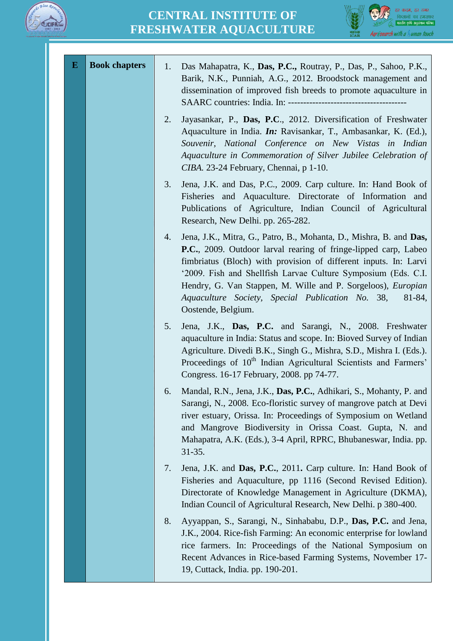



| $\bf{E}$ | <b>Book chapters</b> | 1. | Das Mahapatra, K., Das, P.C., Routray, P., Das, P., Sahoo, P.K.,<br>Barik, N.K., Punniah, A.G., 2012. Broodstock management and<br>dissemination of improved fish breeds to promote aquaculture in                                                                                                                                                                                                                             |
|----------|----------------------|----|--------------------------------------------------------------------------------------------------------------------------------------------------------------------------------------------------------------------------------------------------------------------------------------------------------------------------------------------------------------------------------------------------------------------------------|
|          |                      | 2. | Jayasankar, P., Das, P.C., 2012. Diversification of Freshwater<br>Aquaculture in India. <i>In:</i> Ravisankar, T., Ambasankar, K. (Ed.),<br>Souvenir, National Conference on New Vistas in Indian<br>Aquaculture in Commemoration of Silver Jubilee Celebration of<br>CIBA. 23-24 February, Chennai, p 1-10.                                                                                                                   |
|          |                      | 3. | Jena, J.K. and Das, P.C., 2009. Carp culture. In: Hand Book of<br>Fisheries and Aquaculture. Directorate of Information and<br>Publications of Agriculture, Indian Council of Agricultural<br>Research, New Delhi. pp. 265-282.                                                                                                                                                                                                |
|          |                      | 4. | Jena, J.K., Mitra, G., Patro, B., Mohanta, D., Mishra, B. and Das,<br>P.C., 2009. Outdoor larval rearing of fringe-lipped carp, Labeo<br>fimbriatus (Bloch) with provision of different inputs. In: Larvi<br>'2009. Fish and Shellfish Larvae Culture Symposium (Eds. C.I.<br>Hendry, G. Van Stappen, M. Wille and P. Sorgeloos), Europian<br>Aquaculture Society, Special Publication No. 38,<br>81-84,<br>Oostende, Belgium. |
|          |                      | 5. | Jena, J.K., Das, P.C. and Sarangi, N., 2008. Freshwater<br>aquaculture in India: Status and scope. In: Bioved Survey of Indian<br>Agriculture. Divedi B.K., Singh G., Mishra, S.D., Mishra I. (Eds.).<br>Proceedings of 10 <sup>th</sup> Indian Agricultural Scientists and Farmers'<br>Congress. 16-17 February, 2008. pp 74-77.                                                                                              |
|          |                      | 6. | Mandal, R.N., Jena, J.K., Das, P.C., Adhikari, S., Mohanty, P. and<br>Sarangi, N., 2008. Eco-floristic survey of mangrove patch at Devi<br>river estuary, Orissa. In: Proceedings of Symposium on Wetland<br>and Mangrove Biodiversity in Orissa Coast. Gupta, N. and<br>Mahapatra, A.K. (Eds.), 3-4 April, RPRC, Bhubaneswar, India. pp.<br>$31 - 35.$                                                                        |
|          |                      | 7. | Jena, J.K. and Das, P.C., 2011. Carp culture. In: Hand Book of<br>Fisheries and Aquaculture, pp 1116 (Second Revised Edition).<br>Directorate of Knowledge Management in Agriculture (DKMA),<br>Indian Council of Agricultural Research, New Delhi. p 380-400.                                                                                                                                                                 |
|          |                      | 8. | Ayyappan, S., Sarangi, N., Sinhababu, D.P., Das, P.C. and Jena,<br>J.K., 2004. Rice-fish Farming: An economic enterprise for lowland<br>rice farmers. In: Proceedings of the National Symposium on<br>Recent Advances in Rice-based Farming Systems, November 17-<br>19, Cuttack, India. pp. 190-201.                                                                                                                          |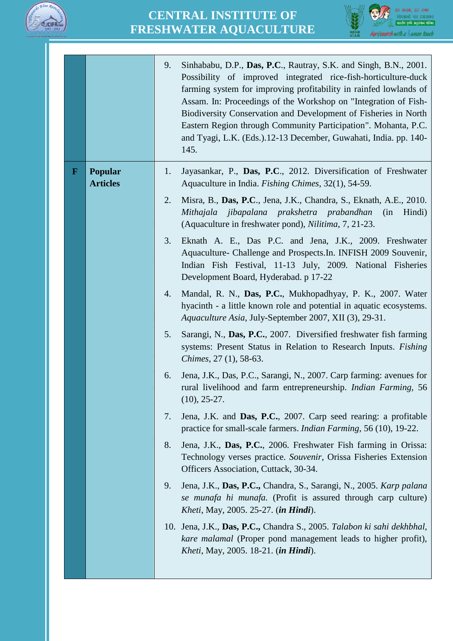



| <b>Popular</b><br>Jayasankar, P., Das, P.C., 2012. Diversification of Freshwater<br>$\mathbf F$<br>1.<br><b>Articles</b><br>Aquaculture in India. Fishing Chimes, 32(1), 54-59.<br>2.<br>Misra, B., Das, P.C., Jena, J.K., Chandra, S., Eknath, A.E., 2010.<br>Mithajala jibapalana prakshetra prabandhan<br>Hindi)<br>(in)<br>(Aquaculture in freshwater pond), Nilitima, 7, 21-23.<br>3.<br>Eknath A. E., Das P.C. and Jena, J.K., 2009. Freshwater<br>Aquaculture- Challenge and Prospects. In. INFISH 2009 Souvenir,<br>Indian Fish Festival, 11-13 July, 2009. National Fisheries<br>Development Board, Hyderabad. p 17-22<br>Mandal, R. N., Das, P.C., Mukhopadhyay, P. K., 2007. Water<br>4.<br>hyacinth - a little known role and potential in aquatic ecosystems.<br>Aquaculture Asia, July-September 2007, XII (3), 29-31.<br>5.<br>Sarangi, N., Das, P.C., 2007. Diversified freshwater fish farming<br>systems: Present Status in Relation to Research Inputs. Fishing<br>Chimes, 27 (1), 58-63.<br>Jena, J.K., Das, P.C., Sarangi, N., 2007. Carp farming: avenues for<br>6.<br>rural livelihood and farm entrepreneurship. Indian Farming, 56<br>$(10), 25-27.$<br>Jena, J.K. and Das, P.C., 2007. Carp seed rearing: a profitable<br>7.<br>practice for small-scale farmers. <i>Indian Farming</i> , 56 (10), 19-22.<br>8.<br>Jena, J.K., Das, P.C., 2006. Freshwater Fish farming in Orissa:<br>Technology verses practice. Souvenir, Orissa Fisheries Extension<br>Officers Association, Cuttack, 30-34.<br>9.<br>Jena, J.K., Das, P.C., Chandra, S., Sarangi, N., 2005. Karp palana<br>se munafa hi munafa. (Profit is assured through carp culture)<br><i>Kheti</i> , May, 2005. 25-27. <i>(in Hindi)</i> .<br>10. Jena, J.K., Das, P.C., Chandra S., 2005. Talabon ki sahi dekhbhal, |  | 9.<br>Sinhababu, D.P., Das, P.C., Rautray, S.K. and Singh, B.N., 2001.<br>Possibility of improved integrated rice-fish-horticulture-duck<br>farming system for improving profitability in rainfed lowlands of<br>Assam. In: Proceedings of the Workshop on "Integration of Fish-<br>Biodiversity Conservation and Development of Fisheries in North<br>Eastern Region through Community Participation". Mohanta, P.C.<br>and Tyagi, L.K. (Eds.).12-13 December, Guwahati, India. pp. 140-<br>145. |
|----------------------------------------------------------------------------------------------------------------------------------------------------------------------------------------------------------------------------------------------------------------------------------------------------------------------------------------------------------------------------------------------------------------------------------------------------------------------------------------------------------------------------------------------------------------------------------------------------------------------------------------------------------------------------------------------------------------------------------------------------------------------------------------------------------------------------------------------------------------------------------------------------------------------------------------------------------------------------------------------------------------------------------------------------------------------------------------------------------------------------------------------------------------------------------------------------------------------------------------------------------------------------------------------------------------------------------------------------------------------------------------------------------------------------------------------------------------------------------------------------------------------------------------------------------------------------------------------------------------------------------------------------------------------------------------------------------------------------------------------------------------------------------------------------------|--|---------------------------------------------------------------------------------------------------------------------------------------------------------------------------------------------------------------------------------------------------------------------------------------------------------------------------------------------------------------------------------------------------------------------------------------------------------------------------------------------------|
| Kheti, May, 2005. 18-21. (in Hindi).                                                                                                                                                                                                                                                                                                                                                                                                                                                                                                                                                                                                                                                                                                                                                                                                                                                                                                                                                                                                                                                                                                                                                                                                                                                                                                                                                                                                                                                                                                                                                                                                                                                                                                                                                                     |  | kare malamal (Proper pond management leads to higher profit),                                                                                                                                                                                                                                                                                                                                                                                                                                     |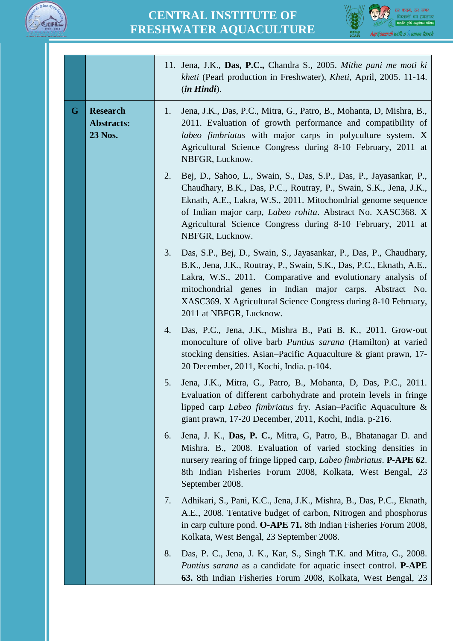



|   |                                                 | 11. Jena, J.K., Das, P.C., Chandra S., 2005. Mithe pani me moti ki<br>kheti (Pearl production in Freshwater), Kheti, April, 2005. 11-14.<br>$(in Hindi)$ .                                                                                                                                                                                                              |
|---|-------------------------------------------------|-------------------------------------------------------------------------------------------------------------------------------------------------------------------------------------------------------------------------------------------------------------------------------------------------------------------------------------------------------------------------|
| G | <b>Research</b><br><b>Abstracts:</b><br>23 Nos. | Jena, J.K., Das, P.C., Mitra, G., Patro, B., Mohanta, D, Mishra, B.,<br>1.<br>2011. Evaluation of growth performance and compatibility of<br>labeo fimbriatus with major carps in polyculture system. X<br>Agricultural Science Congress during 8-10 February, 2011 at<br>NBFGR, Lucknow.                                                                               |
|   |                                                 | 2.<br>Bej, D., Sahoo, L., Swain, S., Das, S.P., Das, P., Jayasankar, P.,<br>Chaudhary, B.K., Das, P.C., Routray, P., Swain, S.K., Jena, J.K.,<br>Eknath, A.E., Lakra, W.S., 2011. Mitochondrial genome sequence<br>of Indian major carp, Labeo rohita. Abstract No. XASC368. X<br>Agricultural Science Congress during 8-10 February, 2011 at<br>NBFGR, Lucknow.        |
|   |                                                 | Das, S.P., Bej, D., Swain, S., Jayasankar, P., Das, P., Chaudhary,<br>3.<br>B.K., Jena, J.K., Routray, P., Swain, S.K., Das, P.C., Eknath, A.E.,<br>Lakra, W.S., 2011. Comparative and evolutionary analysis of<br>mitochondrial genes in Indian major carps. Abstract No.<br>XASC369. X Agricultural Science Congress during 8-10 February,<br>2011 at NBFGR, Lucknow. |
|   |                                                 | Das, P.C., Jena, J.K., Mishra B., Pati B. K., 2011. Grow-out<br>4.<br>monoculture of olive barb Puntius sarana (Hamilton) at varied<br>stocking densities. Asian–Pacific Aquaculture & giant prawn, 17-<br>20 December, 2011, Kochi, India. p-104.                                                                                                                      |
|   |                                                 | Jena, J.K., Mitra, G., Patro, B., Mohanta, D., Das, P.C., 2011.<br>5.<br>Evaluation of different carbohydrate and protein levels in fringe<br>lipped carp <i>Labeo fimbriatus</i> fry. Asian–Pacific Aquaculture &<br>giant prawn, 17-20 December, 2011, Kochi, India. p-216.                                                                                           |
|   |                                                 | Jena, J. K., Das, P. C., Mitra, G. Patro, B., Bhatanagar D. and<br>6.<br>Mishra. B., 2008. Evaluation of varied stocking densities in<br>nursery rearing of fringe lipped carp, <i>Labeo fimbriatus</i> . <b>P-APE 62</b> .<br>8th Indian Fisheries Forum 2008, Kolkata, West Bengal, 23<br>September 2008.                                                             |
|   |                                                 | Adhikari, S., Pani, K.C., Jena, J.K., Mishra, B., Das, P.C., Eknath,<br>7.<br>A.E., 2008. Tentative budget of carbon, Nitrogen and phosphorus<br>in carp culture pond. O-APE 71. 8th Indian Fisheries Forum 2008,<br>Kolkata, West Bengal, 23 September 2008.                                                                                                           |
|   |                                                 | 8.<br>Das, P. C., Jena, J. K., Kar, S., Singh T.K. and Mitra, G., 2008.<br>Puntius sarana as a candidate for aquatic insect control. P-APE<br>63. 8th Indian Fisheries Forum 2008, Kolkata, West Bengal, 23                                                                                                                                                             |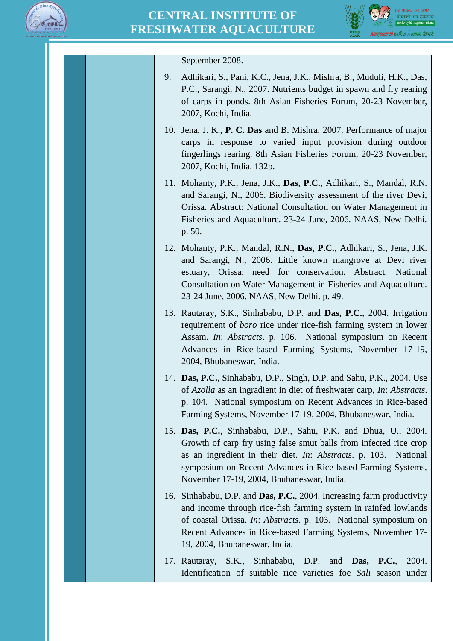



| September 2008.                                                                                                                                                                                                                                                                                                    |
|--------------------------------------------------------------------------------------------------------------------------------------------------------------------------------------------------------------------------------------------------------------------------------------------------------------------|
| Adhikari, S., Pani, K.C., Jena, J.K., Mishra, B., Muduli, H.K., Das,<br>9.<br>P.C., Sarangi, N., 2007. Nutrients budget in spawn and fry rearing<br>of carps in ponds. 8th Asian Fisheries Forum, 20-23 November,<br>2007, Kochi, India.                                                                           |
| 10. Jena, J. K., P. C. Das and B. Mishra, 2007. Performance of major<br>carps in response to varied input provision during outdoor<br>fingerlings rearing. 8th Asian Fisheries Forum, 20-23 November,<br>2007, Kochi, India. 132p.                                                                                 |
| 11. Mohanty, P.K., Jena, J.K., Das, P.C., Adhikari, S., Mandal, R.N.<br>and Sarangi, N., 2006. Biodiversity assessment of the river Devi,<br>Orissa. Abstract: National Consultation on Water Management in<br>Fisheries and Aquaculture. 23-24 June, 2006. NAAS, New Delhi.<br>p. 50.                             |
| 12. Mohanty, P.K., Mandal, R.N., Das, P.C., Adhikari, S., Jena, J.K.<br>and Sarangi, N., 2006. Little known mangrove at Devi river<br>estuary, Orissa: need for conservation. Abstract: National<br>Consultation on Water Management in Fisheries and Aquaculture.<br>23-24 June, 2006. NAAS, New Delhi. p. 49.    |
| 13. Rautaray, S.K., Sinhababu, D.P. and Das, P.C., 2004. Irrigation<br>requirement of <i>boro</i> rice under rice-fish farming system in lower<br>Assam. In: Abstracts. p. 106. National symposium on Recent<br>Advances in Rice-based Farming Systems, November 17-19,<br>2004, Bhubaneswar, India.               |
| 14. Das, P.C., Sinhababu, D.P., Singh, D.P. and Sahu, P.K., 2004. Use<br>of Azolla as an ingradient in diet of freshwater carp, In: Abstracts.<br>p. 104. National symposium on Recent Advances in Rice-based<br>Farming Systems, November 17-19, 2004, Bhubaneswar, India.                                        |
| 15. Das, P.C., Sinhababu, D.P., Sahu, P.K. and Dhua, U., 2004.<br>Growth of carp fry using false smut balls from infected rice crop<br>as an ingredient in their diet. In: Abstracts. p. 103. National<br>symposium on Recent Advances in Rice-based Farming Systems,<br>November 17-19, 2004, Bhubaneswar, India. |
| 16. Sinhababu, D.P. and Das, P.C., 2004. Increasing farm productivity<br>and income through rice-fish farming system in rainfed lowlands<br>of coastal Orissa. In: Abstracts. p. 103. National symposium on<br>Recent Advances in Rice-based Farming Systems, November 17-<br>19, 2004, Bhubaneswar, India.        |
| 17. Rautaray, S.K., Sinhababu, D.P. and Das, P.C.,<br>2004.<br>Identification of suitable rice varieties foe Sali season under                                                                                                                                                                                     |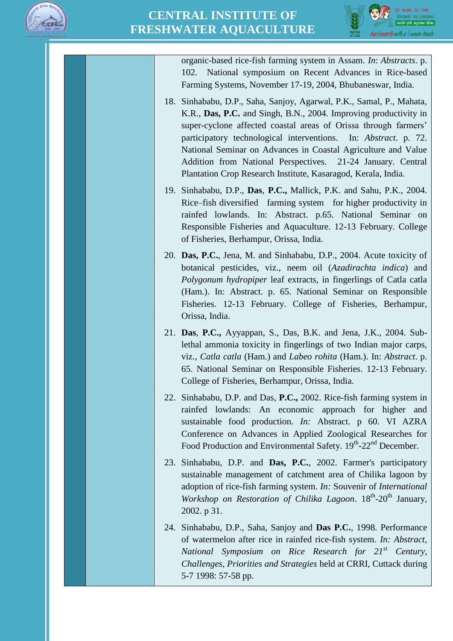



organic-based rice-fish farming system in Assam. *In*: *Abstracts*. p. 102. National symposium on Recent Advances in Rice-based Farming Systems, November 17-19, 2004, Bhubaneswar, India.

- 18. Sinhababu, D.P., Saha, Sanjoy, Agarwal, P.K., Samal, P., Mahata, K.R., **Das, P.C.** and Singh, B.N., 2004. Improving productivity in super-cyclone affected coastal areas of Orissa through farmers' participatory technological interventions. In: *Abstract*. p. 72. National Seminar on Advances in Coastal Agriculture and Value Addition from National Perspectives. 21-24 January. Central Plantation Crop Research Institute, Kasaragod, Kerala, India.
- 19. Sinhababu, D.P., **Das**, **P.C.,** Mallick, P.K. and Sahu, P.K., 2004. Rice–fish diversified farming system for higher productivity in rainfed lowlands. In: Abstract. p.65. National Seminar on Responsible Fisheries and Aquaculture. 12-13 February. College of Fisheries, Berhampur, Orissa, India.
- 20. **Das, P.C.**, Jena, M. and Sinhababu, D.P., 2004. Acute toxicity of botanical pesticides, viz., neem oil (*Azadirachta indica*) and *Polygonum hydropiper* leaf extracts, in fingerlings of Catla catla (Ham.). In: Abstract. p. 65. National Seminar on Responsible Fisheries. 12-13 February. College of Fisheries, Berhampur, Orissa, India.
- 21. **Das**, **P.C.,** Ayyappan, S., Das, B.K. and Jena, J.K., 2004. Sublethal ammonia toxicity in fingerlings of two Indian major carps, viz., *Catla catla* (Ham.) and *Labeo rohita* (Ham.). In: *Abstract*. p. 65. National Seminar on Responsible Fisheries. 12-13 February. College of Fisheries, Berhampur, Orissa, India.
- 22. Sinhababu, D.P. and Das, **P.C.,** 2002. Rice-fish farming system in rainfed lowlands: An economic approach for higher and sustainable food production. *In:* Abstract. p 60. VI AZRA Conference on Advances in Applied Zoological Researches for Food Production and Environmental Safety. 19th-22<sup>nd</sup> December.
- 23. Sinhababu, D.P. and **Das, P.C.**, 2002. Farmer's participatory sustainable management of catchment area of Chilika lagoon by adoption of rice-fish farming system. *In:* Souvenir of *International*  Workshop on Restoration of Chilika Lagoon.  $18^{th}$ -20<sup>th</sup> January, 2002. p 31.
- 24. Sinhababu, D.P., Saha, Sanjoy and **Das P.C.**, 1998. Performance of watermelon after rice in rainfed rice-fish system. *In: Abstract, National Symposium on Rice Research for 21st Century, Challenges, Priorities and Strategies* held at CRRI, Cuttack during 5-7 1998: 57-58 pp.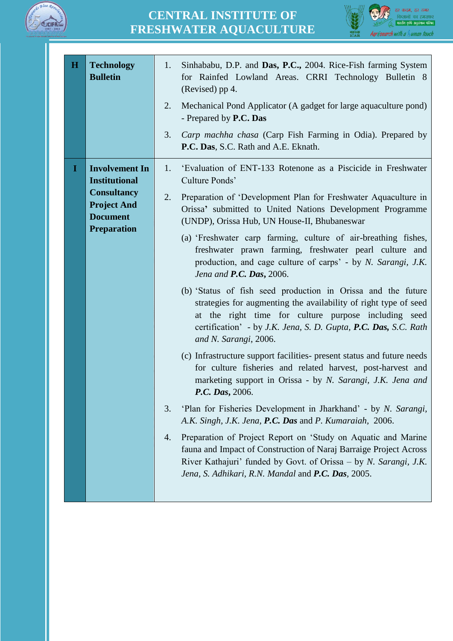



| $\bf{H}$ | <b>Technology</b><br><b>Bulletin</b>                                                                                               | Sinhababu, D.P. and Das, P.C., 2004. Rice-Fish farming System<br>1.<br>for Rainfed Lowland Areas. CRRI Technology Bulletin 8<br>(Revised) pp 4.<br>Mechanical Pond Applicator (A gadget for large aquaculture pond)<br>2.<br>- Prepared by P.C. Das                                  |
|----------|------------------------------------------------------------------------------------------------------------------------------------|--------------------------------------------------------------------------------------------------------------------------------------------------------------------------------------------------------------------------------------------------------------------------------------|
|          |                                                                                                                                    | 3.<br>Carp machha chasa (Carp Fish Farming in Odia). Prepared by<br>P.C. Das, S.C. Rath and A.E. Eknath.                                                                                                                                                                             |
| 1        | <b>Involvement In</b><br><b>Institutional</b><br><b>Consultancy</b><br><b>Project And</b><br><b>Document</b><br><b>Preparation</b> | 'Evaluation of ENT-133 Rotenone as a Piscicide in Freshwater<br>1.<br>Culture Ponds'                                                                                                                                                                                                 |
|          |                                                                                                                                    | 2.<br>Preparation of 'Development Plan for Freshwater Aquaculture in<br>Orissa' submitted to United Nations Development Programme<br>(UNDP), Orissa Hub, UN House-II, Bhubaneswar                                                                                                    |
|          |                                                                                                                                    | (a) 'Freshwater carp farming, culture of air-breathing fishes,<br>freshwater prawn farming, freshwater pearl culture and<br>production, and cage culture of carps' - by N. Sarangi, J.K.<br>Jena and $P.C.$ Das, 2006.                                                               |
|          |                                                                                                                                    | (b) 'Status of fish seed production in Orissa and the future<br>strategies for augmenting the availability of right type of seed<br>at the right time for culture purpose including seed<br>certification' - by J.K. Jena, S. D. Gupta, P.C. Das, S.C. Rath<br>and N. Sarangi, 2006. |
|          |                                                                                                                                    | (c) Infrastructure support facilities- present status and future needs<br>for culture fisheries and related harvest, post-harvest and<br>marketing support in Orissa - by N. Sarangi, J.K. Jena and<br>P.C. Das, 2006.                                                               |
|          |                                                                                                                                    | 'Plan for Fisheries Development in Jharkhand' - by N. Sarangi,<br>3.<br>A.K. Singh, J.K. Jena, P.C. Das and P. Kumaraiah, 2006.                                                                                                                                                      |
|          |                                                                                                                                    | Preparation of Project Report on 'Study on Aquatic and Marine<br>4.<br>fauna and Impact of Construction of Naraj Barraige Project Across<br>River Kathajuri' funded by Govt. of Orissa – by N. Sarangi, J.K.<br>Jena, S. Adhikari, R.N. Mandal and P.C. Das, 2005.                   |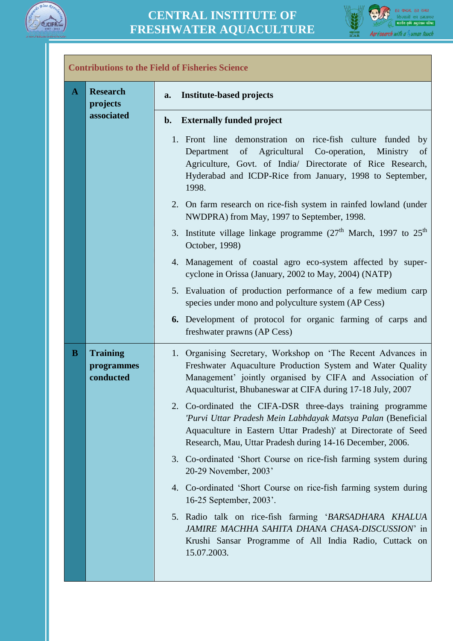



 $\overline{\phantom{0}}$ 

| A | <b>Research</b>                            | <b>Institute-based projects</b><br>a.                                                                                                                                                                                                                             |
|---|--------------------------------------------|-------------------------------------------------------------------------------------------------------------------------------------------------------------------------------------------------------------------------------------------------------------------|
|   | projects                                   |                                                                                                                                                                                                                                                                   |
|   | associated                                 | <b>Externally funded project</b><br>$\mathbf{b}$ .                                                                                                                                                                                                                |
|   |                                            | 1. Front line demonstration on rice-fish culture funded<br>by<br>of Agricultural Co-operation,<br>Ministry<br>Department<br>of<br>Agriculture, Govt. of India/ Directorate of Rice Research,<br>Hyderabad and ICDP-Rice from January, 1998 to September,<br>1998. |
|   |                                            | 2. On farm research on rice-fish system in rainfed lowland (under<br>NWDPRA) from May, 1997 to September, 1998.                                                                                                                                                   |
|   |                                            | 3. Institute village linkage programme $(27th$ March, 1997 to $25th$<br>October, 1998)                                                                                                                                                                            |
|   |                                            | 4. Management of coastal agro eco-system affected by super-<br>cyclone in Orissa (January, 2002 to May, 2004) (NATP)                                                                                                                                              |
|   |                                            | 5. Evaluation of production performance of a few medium carp<br>species under mono and polyculture system (AP Cess)                                                                                                                                               |
|   |                                            | <b>6.</b> Development of protocol for organic farming of carps and<br>freshwater prawns (AP Cess)                                                                                                                                                                 |
| B | <b>Training</b><br>programmes<br>conducted | 1. Organising Secretary, Workshop on 'The Recent Advances in<br>Freshwater Aquaculture Production System and Water Quality<br>Management' jointly organised by CIFA and Association of<br>Aquaculturist, Bhubaneswar at CIFA during 17-18 July, 2007              |
|   |                                            | 2. Co-ordinated the CIFA-DSR three-days training programme<br>'Purvi Uttar Pradesh Mein Labhdayak Matsya Palan (Beneficial<br>Aquaculture in Eastern Uttar Pradesh)' at Directorate of Seed<br>Research, Mau, Uttar Pradesh during 14-16 December, 2006.          |
|   |                                            | 3. Co-ordinated 'Short Course on rice-fish farming system during<br>20-29 November, 2003'                                                                                                                                                                         |
|   |                                            | 4. Co-ordinated 'Short Course on rice-fish farming system during<br>16-25 September, 2003'.                                                                                                                                                                       |
|   |                                            | 5. Radio talk on rice-fish farming 'BARSADHARA KHALUA<br>JAMIRE MACHHA SAHITA DHANA CHASA-DISCUSSION' in<br>Krushi Sansar Programme of All India Radio, Cuttack on<br>15.07.2003.                                                                                 |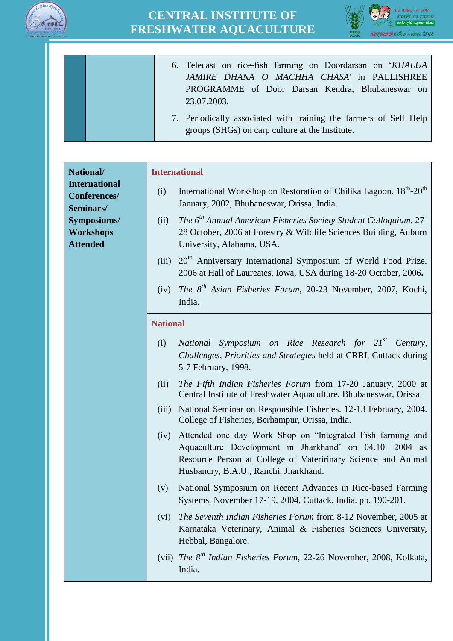



| 6. Telecast on rice-fish farming on Doordarsan on 'KHALUA         |
|-------------------------------------------------------------------|
| JAMIRE DHANA O MACHHA CHASA' in PALLISHREE                        |
| PROGRAMME of Door Darsan Kendra, Bhubaneswar on                   |
| 23.07.2003.                                                       |
| 7. Periodically associated with training the farmers of Self Help |
| groups (SHGs) on carp culture at the Institute.                   |

**National/ International Conferences/ Seminars/ Symposiums/ Workshops Attended**

#### **International**

- (i) International Workshop on Restoration of Chilika Lagoon.  $18<sup>th</sup>$ - $20<sup>th</sup>$ January, 2002, Bhubaneswar, Orissa, India.
- (ii) *The 6 th Annual American Fisheries Society Student Colloquium*, 27- 28 October, 2006 at Forestry & Wildlife Sciences Building, Auburn University, Alabama, USA.
- (iii) 20<sup>th</sup> Anniversary International Symposium of World Food Prize, 2006 at Hall of Laureates, Iowa, USA during 18-20 October, 2006**.**
- (iv) *The 8 th Asian Fisheries Forum*, 20-23 November, 2007, Kochi, India.

#### **National**

- (i) *National Symposium on Rice Research for 21st Century, Challenges, Priorities and Strategies* held at CRRI, Cuttack during 5-7 February, 1998.
- (ii) *The Fifth Indian Fisheries Forum* from 17-20 January, 2000 at Central Institute of Freshwater Aquaculture, Bhubaneswar, Orissa.
- (iii) National Seminar on Responsible Fisheries. 12-13 February, 2004. College of Fisheries, Berhampur, Orissa, India.
- (iv) Attended one day Work Shop on "Integrated Fish farming and Aquaculture Development in Jharkhand' on 04.10. 2004 as Resource Person at College of Vateririnary Science and Animal Husbandry, B.A.U., Ranchi, Jharkhand.
- (v) National Symposium on Recent Advances in Rice-based Farming Systems, November 17-19, 2004, Cuttack, India. pp. 190-201.
- (vi) *The Seventh Indian Fisheries Forum* from 8-12 November, 2005 at Karnataka Veterinary, Animal & Fisheries Sciences University, Hebbal, Bangalore.
- (vii) *The 8th Indian Fisheries Forum*, 22-26 November, 2008, Kolkata, India.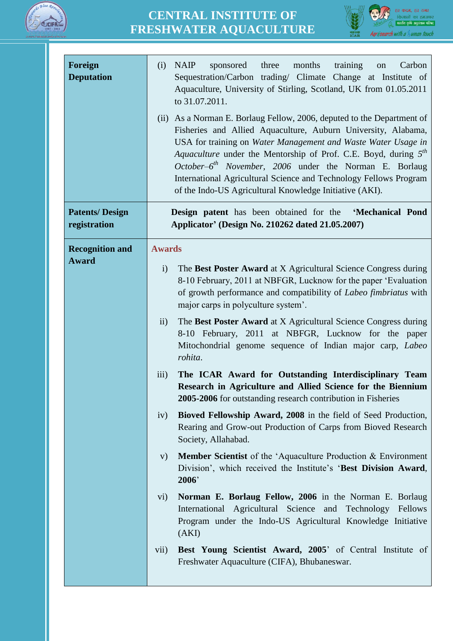



| Foreign<br><b>Deputation</b>           | <b>NAIP</b><br>sponsored three<br>months<br>training<br>Carbon<br>(i)<br>on<br>Sequestration/Carbon trading/ Climate Change at Institute of<br>Aquaculture, University of Stirling, Scotland, UK from 01.05.2011<br>to 31.07.2011.<br>(ii) As a Norman E. Borlaug Fellow, 2006, deputed to the Department of<br>Fisheries and Allied Aquaculture, Auburn University, Alabama,<br>USA for training on Water Management and Waste Water Usage in<br>Aquaculture under the Mentorship of Prof. C.E. Boyd, during $5th$<br>October- $6^{th}$ November, 2006 under the Norman E. Borlaug<br>International Agricultural Science and Technology Fellows Program<br>of the Indo-US Agricultural Knowledge Initiative (AKI). |  |  |  |
|----------------------------------------|---------------------------------------------------------------------------------------------------------------------------------------------------------------------------------------------------------------------------------------------------------------------------------------------------------------------------------------------------------------------------------------------------------------------------------------------------------------------------------------------------------------------------------------------------------------------------------------------------------------------------------------------------------------------------------------------------------------------|--|--|--|
| <b>Patents/Design</b><br>registration  | <b>Design patent</b> has been obtained for the<br>'Mechanical Pond<br>Applicator' (Design No. 210262 dated 21.05.2007)                                                                                                                                                                                                                                                                                                                                                                                                                                                                                                                                                                                              |  |  |  |
| <b>Recognition and</b><br><b>Award</b> | <b>Awards</b><br>The Best Poster Award at X Agricultural Science Congress during<br>$\mathbf{i}$<br>8-10 February, 2011 at NBFGR, Lucknow for the paper 'Evaluation<br>of growth performance and compatibility of Labeo fimbriatus with<br>major carps in polyculture system'.<br>$\ddot{i}$<br>The Best Poster Award at X Agricultural Science Congress during<br>8-10 February, 2011 at NBFGR, Lucknow for the paper<br>Mitochondrial genome sequence of Indian major carp, Labeo<br>rohita.<br>The ICAR Award for Outstanding Interdisciplinary Team<br>iii)<br>Research in Agriculture and Allied Science for the Biennium                                                                                      |  |  |  |
|                                        | 2005-2006 for outstanding research contribution in Fisheries<br>Bioved Fellowship Award, 2008 in the field of Seed Production,<br>iv)<br>Rearing and Grow-out Production of Carps from Bioved Research<br>Society, Allahabad.<br><b>Member Scientist</b> of the 'Aquaculture Production & Environment<br>V)<br>Division', which received the Institute's 'Best Division Award,<br>2006<br>Norman E. Borlaug Fellow, 2006 in the Norman E. Borlaug                                                                                                                                                                                                                                                                   |  |  |  |
|                                        | $\mathbf{v}$ i)<br>International Agricultural Science and Technology Fellows<br>Program under the Indo-US Agricultural Knowledge Initiative<br>(AKI)<br>Best Young Scientist Award, 2005' of Central Institute of<br>$\overline{\text{vii}}$<br>Freshwater Aquaculture (CIFA), Bhubaneswar.                                                                                                                                                                                                                                                                                                                                                                                                                         |  |  |  |